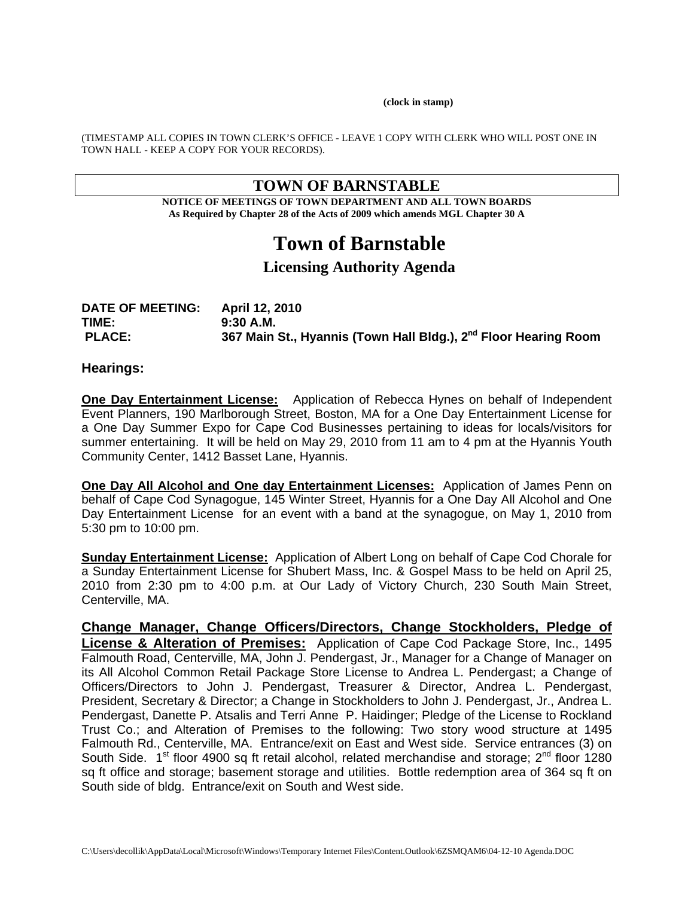**(clock in stamp)** 

(TIMESTAMP ALL COPIES IN TOWN CLERK'S OFFICE - LEAVE 1 COPY WITH CLERK WHO WILL POST ONE IN TOWN HALL - KEEP A COPY FOR YOUR RECORDS).

# **TOWN OF BARNSTABLE**

**NOTICE OF MEETINGS OF TOWN DEPARTMENT AND ALL TOWN BOARDS As Required by Chapter 28 of the Acts of 2009 which amends MGL Chapter 30 A** 

# **Town of Barnstable**

# **Licensing Authority Agenda**

| <b>DATE OF MEETING:</b> | <b>April 12, 2010</b>                                                       |
|-------------------------|-----------------------------------------------------------------------------|
| TIME:                   | 9:30 A.M.                                                                   |
| <b>PLACE:</b>           | 367 Main St., Hyannis (Town Hall Bldg.), 2 <sup>nd</sup> Floor Hearing Room |

#### **Hearings:**

**One Day Entertainment License:** Application of Rebecca Hynes on behalf of Independent Event Planners, 190 Marlborough Street, Boston, MA for a One Day Entertainment License for a One Day Summer Expo for Cape Cod Businesses pertaining to ideas for locals/visitors for summer entertaining. It will be held on May 29, 2010 from 11 am to 4 pm at the Hyannis Youth Community Center, 1412 Basset Lane, Hyannis.

**One Day All Alcohol and One day Entertainment Licenses:** Application of James Penn on behalf of Cape Cod Synagogue, 145 Winter Street, Hyannis for a One Day All Alcohol and One Day Entertainment License for an event with a band at the synagogue, on May 1, 2010 from 5:30 pm to 10:00 pm.

**Sunday Entertainment License:** Application of Albert Long on behalf of Cape Cod Chorale for a Sunday Entertainment License for Shubert Mass, Inc. & Gospel Mass to be held on April 25, 2010 from 2:30 pm to 4:00 p.m. at Our Lady of Victory Church, 230 South Main Street, Centerville, MA.

**Change Manager, Change Officers/Directors, Change Stockholders, Pledge of License & Alteration of Premises:** Application of Cape Cod Package Store, Inc., 1495 Falmouth Road, Centerville, MA, John J. Pendergast, Jr., Manager for a Change of Manager on its All Alcohol Common Retail Package Store License to Andrea L. Pendergast; a Change of Officers/Directors to John J. Pendergast, Treasurer & Director, Andrea L. Pendergast, President, Secretary & Director; a Change in Stockholders to John J. Pendergast, Jr., Andrea L. Pendergast, Danette P. Atsalis and Terri Anne P. Haidinger; Pledge of the License to Rockland Trust Co.; and Alteration of Premises to the following: Two story wood structure at 1495 Falmouth Rd., Centerville, MA. Entrance/exit on East and West side. Service entrances (3) on South Side.  $1<sup>st</sup>$  floor 4900 sq ft retail alcohol, related merchandise and storage;  $2<sup>nd</sup>$  floor 1280 sq ft office and storage; basement storage and utilities. Bottle redemption area of 364 sq ft on South side of bldg. Entrance/exit on South and West side.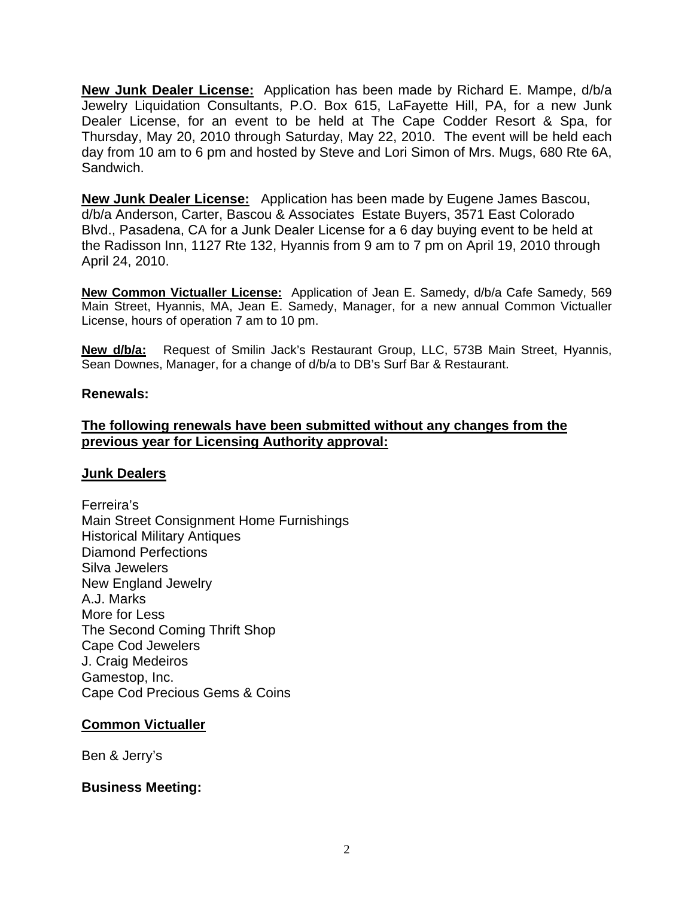**New Junk Dealer License:** Application has been made by Richard E. Mampe, d/b/a Jewelry Liquidation Consultants, P.O. Box 615, LaFayette Hill, PA, for a new Junk Dealer License, for an event to be held at The Cape Codder Resort & Spa, for Thursday, May 20, 2010 through Saturday, May 22, 2010. The event will be held each day from 10 am to 6 pm and hosted by Steve and Lori Simon of Mrs. Mugs, 680 Rte 6A, Sandwich.

**New Junk Dealer License:** Application has been made by Eugene James Bascou, d/b/a Anderson, Carter, Bascou & Associates Estate Buyers, 3571 East Colorado Blvd., Pasadena, CA for a Junk Dealer License for a 6 day buying event to be held at the Radisson Inn, 1127 Rte 132, Hyannis from 9 am to 7 pm on April 19, 2010 through April 24, 2010.

**New Common Victualler License:** Application of Jean E. Samedy, d/b/a Cafe Samedy, 569 Main Street, Hyannis, MA, Jean E. Samedy, Manager, for a new annual Common Victualler License, hours of operation 7 am to 10 pm.

**New d/b/a:** Request of Smilin Jack's Restaurant Group, LLC, 573B Main Street, Hyannis, Sean Downes, Manager, for a change of d/b/a to DB's Surf Bar & Restaurant.

## **Renewals:**

# **The following renewals have been submitted without any changes from the previous year for Licensing Authority approval:**

## **Junk Dealers**

Ferreira's Main Street Consignment Home Furnishings Historical Military Antiques Diamond Perfections Silva Jewelers New England Jewelry A.J. Marks More for Less The Second Coming Thrift Shop Cape Cod Jewelers J. Craig Medeiros Gamestop, Inc. Cape Cod Precious Gems & Coins

## **Common Victualler**

Ben & Jerry's

## **Business Meeting:**